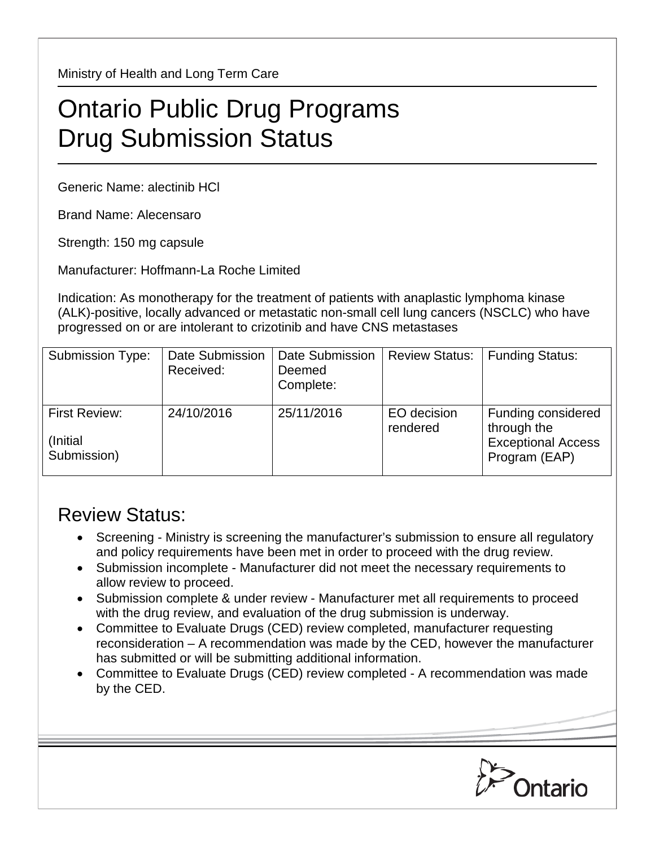Ministry of Health and Long Term Care

## Ontario Public Drug Programs Drug Submission Status

Generic Name: alectinib HCl

Brand Name: Alecensaro

Strength: 150 mg capsule

Manufacturer: Hoffmann-La Roche Limited

Indication: As monotherapy for the treatment of patients with anaplastic lymphoma kinase (ALK)-positive, locally advanced or metastatic non-small cell lung cancers (NSCLC) who have progressed on or are intolerant to crizotinib and have CNS metastases

| <b>Submission Type:</b>                   | Date Submission<br>Received: | <b>Date Submission</b><br>Deemed<br>Complete: | <b>Review Status:</b>   | <b>Funding Status:</b>                                                          |
|-------------------------------------------|------------------------------|-----------------------------------------------|-------------------------|---------------------------------------------------------------------------------|
| First Review:<br>(Initial)<br>Submission) | 24/10/2016                   | 25/11/2016                                    | EO decision<br>rendered | Funding considered<br>through the<br><b>Exceptional Access</b><br>Program (EAP) |

## Review Status:

- Screening Ministry is screening the manufacturer's submission to ensure all regulatory and policy requirements have been met in order to proceed with the drug review.
- Submission incomplete Manufacturer did not meet the necessary requirements to allow review to proceed.
- Submission complete & under review Manufacturer met all requirements to proceed with the drug review, and evaluation of the drug submission is underway.
- Committee to Evaluate Drugs (CED) review completed, manufacturer requesting reconsideration – A recommendation was made by the CED, however the manufacturer has submitted or will be submitting additional information.
- Committee to Evaluate Drugs (CED) review completed A recommendation was made by the CED.